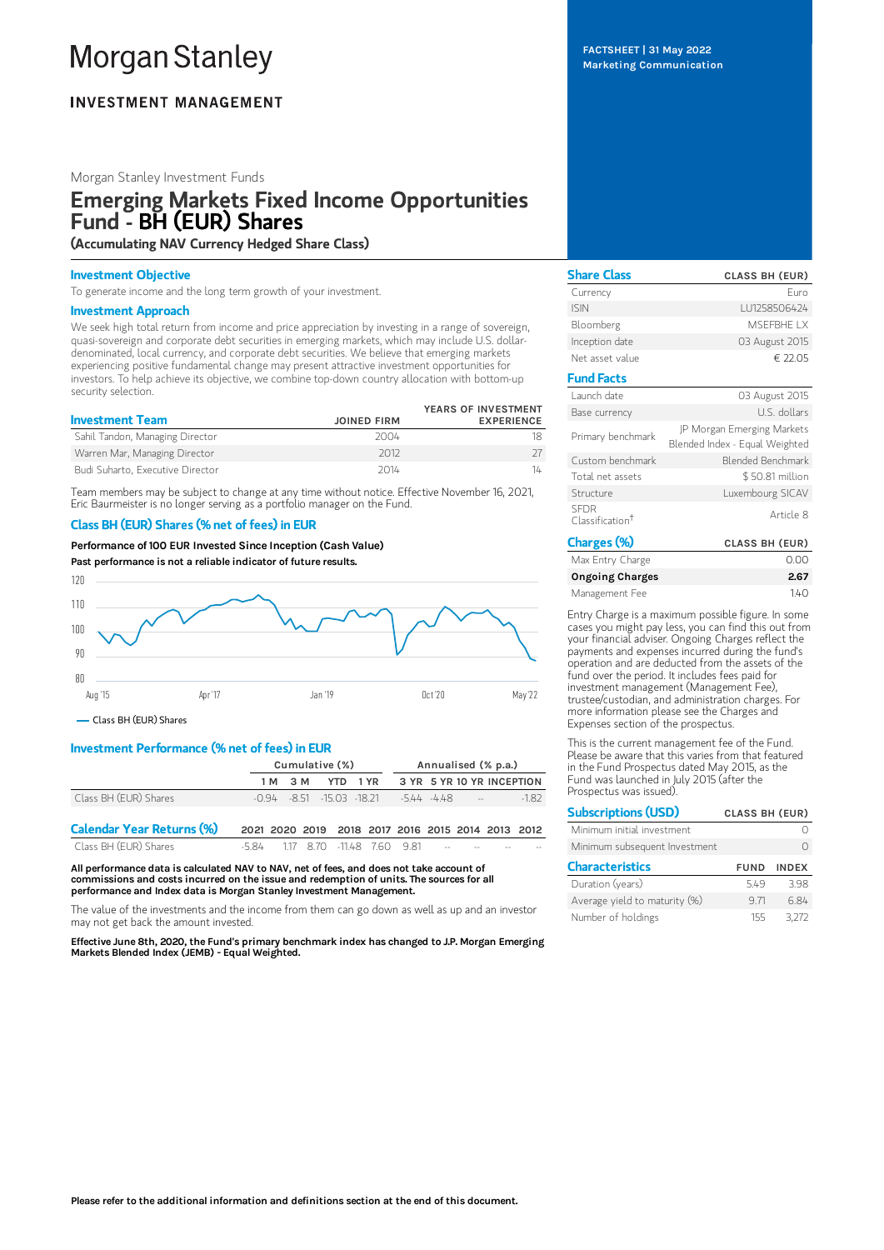# **Morgan Stanley**

# **INVESTMENT MANAGEMENT**

## Morgan Stanley Investment Funds

# Emerging Markets Fixed Income Opportunities Fund - BH (EUR) Shares

(Accumulating NAV Currency Hedged Share Class)

#### Investment Objective

To generate income and the long term growth of your investment.

#### Investment Approach

We seek high total return from income and price appreciation by investing in a range of sovereign, quasi-sovereign and corporate debt securities in emerging markets, which may include U.S. dollardenominated, local currency, and corporate debt securities. We believe that emerging markets experiencing positive fundamental change may present attractive investment opportunities for investors. To help achieve its objective, we combine top-down country allocation with bottom-up security selection.

| <b>Investment Team</b>           | <b>JOINED FIRM</b> | YEARS OF INVESTMENT<br><b>EXPERIENCE</b> |
|----------------------------------|--------------------|------------------------------------------|
| Sahil Tandon, Managing Director  | 2004               |                                          |
| Warren Mar, Managing Director    | 2012               |                                          |
| Budi Suharto, Executive Director | 2014               | 14                                       |

Team members may be subject to change at any time without notice. Effective November 16, 2021, Eric Baurmeister is no longer serving as a portfolio manager on the Fund.

# Class BH (EUR) Shares (% net of fees) in EUR

Performance of100 EUR Invested Since Inception (Cash Value) Past performance is not a reliable indicator of future results.



Class BH (EUR) Shares

# Investment Performance (% net of fees) in EUR

|                                  | Cumulative (%)                                    |         |  | Annualised (% p.a.)                                       |  |  |                           |        |
|----------------------------------|---------------------------------------------------|---------|--|-----------------------------------------------------------|--|--|---------------------------|--------|
|                                  |                                                   | 1 M 3 M |  | YTD 1YR                                                   |  |  | 3 YR 5 YR 10 YR INCEPTION |        |
| Class BH (EUR) Shares            |                                                   |         |  | $-0.94$ $-8.51$ $-15.03$ $-18.21$ $-5.44$ $-4.48$ $-5.44$ |  |  |                           | $-182$ |
| <b>Calendar Year Returns (%)</b> | 2021 2020 2019 2018 2017 2016 2015 2014 2013 2012 |         |  |                                                           |  |  |                           |        |
| Class BH (EUR) Shares            | -5.84 1.17 8.70 -11.48 7.60 9.81                  |         |  |                                                           |  |  |                           |        |

All performance data is calculated NAV to NAV, net of fees, and does not take account of commissions and costs incurred on the issue and redemption of units. The sources for all performance and Index data is Morgan Stanley Investment Management.

The value of the investments and the income from them can go down as well as up and an investor may not get back the amount invested.

Effective June 8th, 2020, the Fund's primary benchmark index has changed to J.P. Morgan Emerging Markets Blended Index (JEMB) - Equal Weighted.

FACTSHEET | 31 May 2022 Marketing Communication

| <b>Share Class</b>                         | <b>CLASS BH (EUR)</b>                                        |
|--------------------------------------------|--------------------------------------------------------------|
| Currency                                   | Furo                                                         |
| <b>ISIN</b>                                | LU1258506424                                                 |
| Bloomberg                                  | MSFFBHF I X                                                  |
| Inception date                             | 03 August 2015                                               |
| Net asset value                            | € 22.05                                                      |
| <b>Fund Facts</b>                          |                                                              |
| Launch date                                | 03 August 2015                                               |
| Base currency                              | U.S. dollars                                                 |
| Primary benchmark                          | JP Morgan Emerging Markets<br>Blended Index - Equal Weighted |
| Custom benchmark                           | <b>Blended Benchmark</b>                                     |
| Total net assets                           | \$50.81 million                                              |
| Structure                                  | Luxembourg SICAV                                             |
| <b>SFDR</b><br>Classification <sup>†</sup> | Article 8                                                    |
| Charges (%)                                | <b>CLASS BH (EUR)</b>                                        |

| LIGI KES (70)          | <b>ULASS DH (EUR)</b> |
|------------------------|-----------------------|
| Max Entry Charge       | 0.00                  |
| <b>Ongoing Charges</b> | 2.67                  |
| Management Fee         | 140                   |

Entry Charge is a maximum possible figure. In some cases you might pay less, you can find this out from your financial adviser. Ongoing Charges reflect the payments and expenses incurred during the fund's operation and are deducted from the assets of the fund over the period. It includes fees paid for investment management (Management Fee), trustee/custodian, and administration charges. For more information please see the Charges and Expenses section of the prospectus.

This is the current management fee of the Fund. Please be aware that this varies from that featured in the Fund Prospectus dated May 2015, as the Fund was launched in July 2015 (after the Prospectus was issued).

| <b>Subscriptions (USD)</b>    | <b>CLASS BH (EUR)</b> |              |
|-------------------------------|-----------------------|--------------|
| Minimum initial investment    |                       |              |
| Minimum subsequent Investment |                       |              |
| <b>Characteristics</b>        | <b>FUND</b>           | <b>INDEX</b> |
| Duration (years)              | 549                   | 398          |
| Average yield to maturity (%) | 971                   | 684          |
| Number of holdings            | 155                   | 3.272        |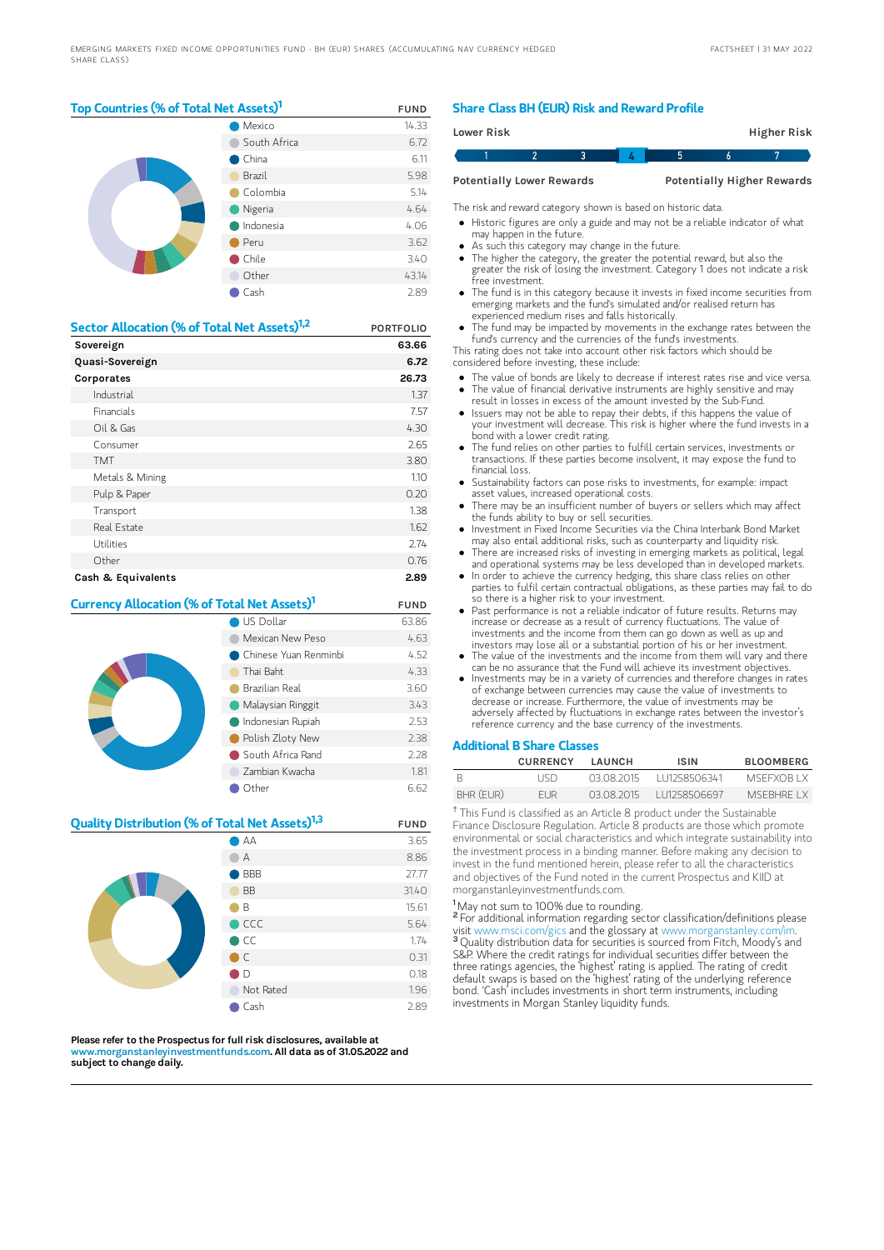## Top Countries (% of Total Net Assets)<sup>1</sup> FUND

|  | Mexico       | 14.33 |
|--|--------------|-------|
|  | South Africa | 6.72  |
|  | China        | 6.11  |
|  | Brazil       | 5.98  |
|  | Colombia     | 5.14  |
|  | Nigeria      | 4.64  |
|  | Indonesia    | 4.06  |
|  | Peru         | 3.62  |
|  | Chile        | 3.40  |
|  | Other        | 43.14 |
|  | Cash         | 2.89  |

| Sector Allocation (% of Total Net Assets) <sup>1,2</sup> | <b>PORTFOLIO</b> |
|----------------------------------------------------------|------------------|
| Sovereign                                                | 63.66            |
| Quasi-Sovereign                                          | 6.72             |
| Corporates                                               | 26.73            |
| Industrial                                               | 1.37             |
| <b>Financials</b>                                        | 7.57             |
| Oil & Gas                                                | 4.30             |
| Consumer                                                 | 2.65             |
| <b>TMT</b>                                               | 3.80             |
| Metals & Mining                                          | 1.10             |
| Pulp & Paper                                             | 0.20             |
| Transport                                                | 1.38             |
| Real Estate                                              | 1.62             |
| Utilities                                                | 2.74             |
| Other                                                    | 0.76             |
| Cash & Equivalents                                       | 2.89             |

## **Currency Allocation (% of Total Net Assets)<sup>1</sup> FUND**

|  | US Dollar               | 63.86 |
|--|-------------------------|-------|
|  | Mexican New Peso        | 4.63  |
|  | ● Chinese Yuan Renminbi | 4.52  |
|  | Thai Baht               | 4.33  |
|  | Brazilian Real          | 3.60  |
|  | Malaysian Ringgit       | 3.43  |
|  | Indonesian Rupiah       | 2.53  |
|  | Polish Zloty New        | 2.38  |
|  | South Africa Rand       | 2.28  |
|  | Zambian Kwacha          | 1.81  |
|  | Other                   | 6.62  |

## **Quality Distribution (% of Total Net Assets)<sup>1,3</sup> FUND**

|  | AA             | 3.65  |
|--|----------------|-------|
|  | А              | 8.86  |
|  | <b>BBB</b>     | 27.77 |
|  | <b>BB</b>      | 31.40 |
|  | B              | 15.61 |
|  | $\bigcirc$ CCC | 5.64  |
|  | $\bullet$ CC   | 1.74  |
|  | $\bigcirc$ C   | 0.31  |
|  | $\bullet$ D    | 0.18  |
|  | Not Rated      | 1.96  |
|  | Cash           | 2.89  |

Please refer to the Prospectus for full risk disclosures, available at w.morganstanleyinvestmentfunds.co<mark>m. All data as of 31.05.2022 and</mark> subject to change daily.

## Share Class BH (EUR) Risk and Reward Profile

| Lower Risk |                                  |  |  | Higher Risk                       |  |
|------------|----------------------------------|--|--|-----------------------------------|--|
|            |                                  |  |  |                                   |  |
|            | <b>Potentially Lower Rewards</b> |  |  | <b>Potentially Higher Rewards</b> |  |

The risk and reward category shown is based on historic data.

- Historic figures are only a guide and may not be a reliable indicator of what may happen in the future.
- As such this category may change in the future.
- The higher the category, the greater the potential reward, but also the greater the risk of losing the investment. Category 1 does not indicate a risk free investment.
- The fund is in this category because it invests in fixed income securities from emerging markets and the fund's simulated and/or realised return has experienced medium rises and falls historically.
- The fund may be impacted by movements in the exchange rates between the fund's currency and the currencies of the fund's investments.
- This rating does not take into account other risk factors which should be considered before investing, these include:
- The value of bonds are likely to decrease if interest rates rise and vice versa. The value of financial derivative instruments are highly sensitive and may
- result in losses in excess of the amount invested by the Sub-Fund. Issuers may not be able to repay their debts, if this happens the value of
- your investment will decrease. This risk is higher where the fund invests in a bond with a lower credit rating.
- The fund relies on other parties to fulfill certain services, investments or transactions. If these parties become insolvent, it may expose the fund to financial loss.
- Sustainability factors can pose risks to investments, for example: impact asset values, increased operational costs.
- There may be an insufficient number of buyers or sellers which may affect the funds ability to buy or sell securities.
- Investment in Fixed Income Securities via the China Interbank Bond Market may also entail additional risks, such as counterparty and liquidity risk.
- There are increased risks of investing in emerging markets as political, legal and operational systems may be less developed than in developed markets. In order to achieve the currency hedging, this share class relies on other
- parties to fulfil certain contractual obligations, as these parties may fail to do so there is a higher risk to your investment.
- Past performance is not a reliable indicator of future results. Returns may increase or decrease as a result of currency fluctuations. The value of investments and the income from them can go down as well as up and investors may lose all or a substantial portion of his or her investment.
- The value of the investments and the income from them will vary and there can be no assurance that the Fund will achieve its investment objectives.
- Investments may be in a variety of currencies and therefore changes in rates of exchange between currencies may cause the value of investments to decrease or increase. Furthermore, the value of investments may be adversely affected by fluctuations in exchange rates between the investor's reference currency and the base currency of the investments.

#### Additional B Share Classes

|           | <b>CURRENCY</b> | <b>I AUNCH</b> | <b>ISIN</b>  | <b>BLOOMBERG</b> |
|-----------|-----------------|----------------|--------------|------------------|
|           | l ISD.          | 03.08.2015     | 111258506341 | MSEEXOR LX       |
| BHR (EUR) | FI JR           | 03.08.2015     | 111258506697 | MSERHRE I X      |

<sup>†</sup> This Fund is classified as an Article 8 product under the Sustainable Finance Disclosure Regulation. Article 8 products are those which promote environmental or social characteristics and which integrate sustainability into the investment process in a binding manner. Before making any decision to invest in the fund mentioned herein, please refer to all the characteristics and objectives of the Fund noted in the current Prospectus and KIID at morganstanleyinvestmentfunds.com.

<sup>1</sup>May not sum to 100% due to rounding.

<sup>2</sup> For additional information regarding sector classification/definitions please visit www.msci.com/gics and the glossary at www.morganstanley.com/im. <sup>3</sup> Quality distribution data for securities is sourced from Fitch, Moody's and S&P. Where the credit ratings for individual securities differ between the three ratings agencies, the 'highest' rating is applied. The rating of credit default swaps is based on the 'highest' rating of the underlying reference bond. 'Cash' includes investments in short term instruments, including investments in Morgan Stanley liquidity funds.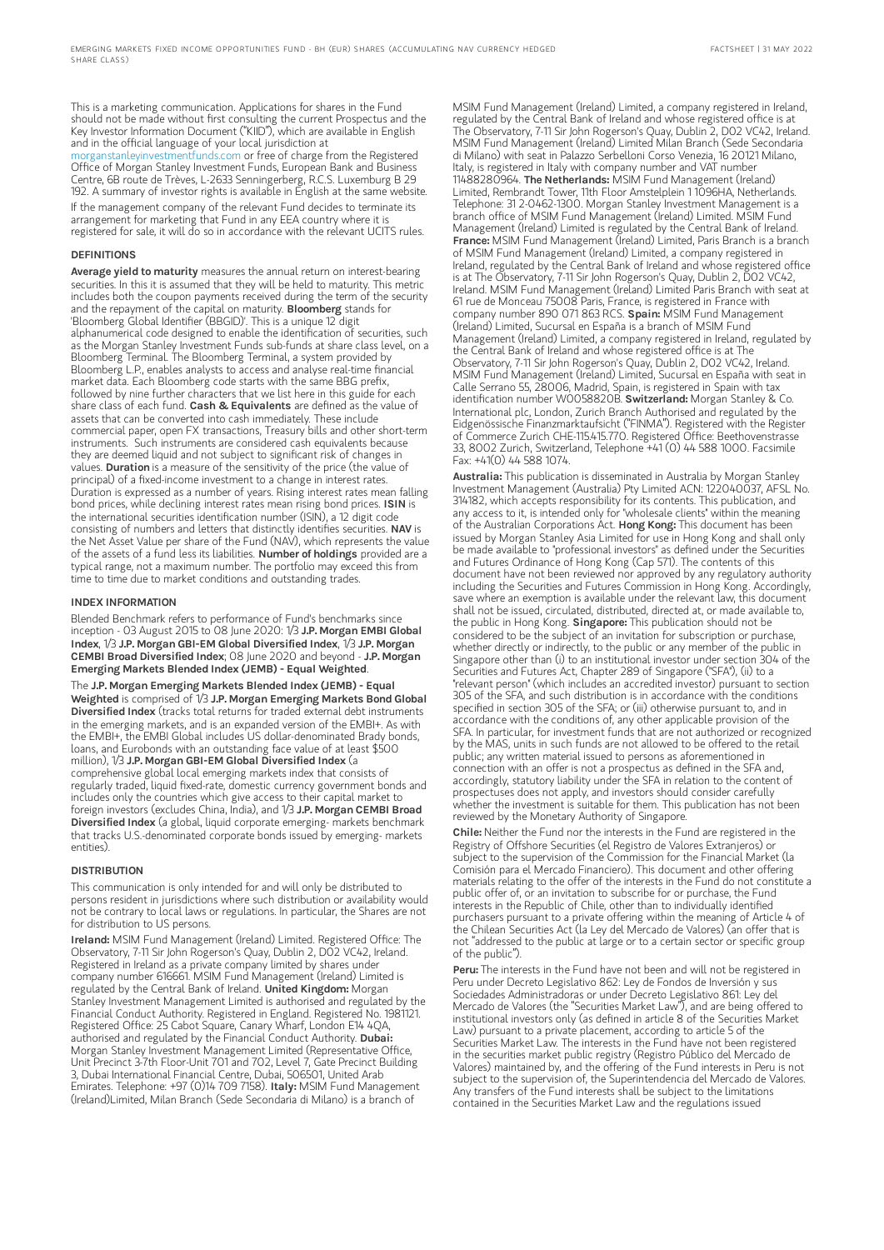This is a marketing communication. Applications for shares in the Fund should not be made without first consulting the current Prospectus and the Key Investor Information Document ("KIID"), which are available in English and in the official language of your local jurisdiction at [morganstanleyinvestmentfunds.com](https://www.morganstanley.com/im/msinvf/index.html) or free of charge from the Registered Office of Morgan Stanley Investment Funds, European Bank and Business Centre, 6B route de Trèves, L-2633 Senningerberg, R.C.S. Luxemburg B 29 192. A summary of investor rights is available in English at the same website. If the management company of the relevant Fund decides to terminate its arrangement for marketing that Fund in any EEA country where it is registered for sale, it will do so in accordance with the relevant UCITS rules.

#### DEFINITIONS

Average yield to maturity measures the annual return on interest-bearing securities. In this it is assumed that they will be held to maturity. This metric includes both the coupon payments received during the term of the security and the repayment of the capital on maturity. **Bloomberg** stands for 'Bloomberg Global Identifier (BBGID)'. This is a unique 12 digit alphanumerical code designed to enable the identification of securities, such as the Morgan Stanley Investment Funds sub-funds at share class level, on a Bloomberg Terminal. The Bloomberg Terminal, a system provided by Bloomberg L.P., enables analysts to access and analyse real-time financial market data. Each Bloomberg code starts with the same BBG prefix, followed by nine further characters that we list here in this guide for each share class of each fund. Cash & Equivalents are defined as the value of assets that can be converted into cash immediately. These include commercial paper, open FX transactions, Treasury bills and other short-term instruments. Such instruments are considered cash equivalents because they are deemed liquid and not subject to significant risk of changes in values. Duration is a measure of the sensitivity of the price (the value of principal) of a fixed-income investment to a change in interest rates. Duration is expressed as a number of years. Rising interest rates mean falling<br>bond prices, while declining interest rates mean rising bond prices. **ISIN** is the international securities identification number (ISIN), a 12 digit code consisting of numbers and letters that distinctly identifies securities. NAV is the Net Asset Value per share of the Fund (NAV), which represents the value of the assets of a fund less its liabilities. Number of holdings provided are a typical range, not a maximum number. The portfolio may exceed this from time to time due to market conditions and outstanding trades.

#### INDEX INFORMATION

Blended Benchmark refers to performance of Fund's benchmarks since inception - 03 August 2015 to 08 June 2020: 1/3 J.P. Morgan EMBI Global Index, 1/3 J.P. Morgan GBI-EM Global Diversified Index, 1/3 J.P. Morgan CEMBI Broad Diversified Index; 08 June 2020 and beyond - J.P. Morgan Emerging Markets Blended Index (JEMB) - Equal Weighted. The J.P. Morgan Emerging Markets Blended Index (JEMB) - Equal

Weighted is comprised of 1/3 J.P. Morgan Emerging Markets Bond Global Diversified Index (tracks total returns for traded external debt instruments in the emerging markets, and is an expanded version of the EMBI+. As with the EMBI+, the EMBI Global includes US dollar-denominated Brady bonds, loans, and Eurobonds with an outstanding face value of at least \$500 million), 1/3 J.P. Morgan GBI-EM Global Diversified Index (a comprehensive global local emerging markets index that consists of regularly traded, liquid fixed-rate, domestic currency government bonds and includes only the countries which give access to their capital market to foreign investors (excludes China, India), and 1/3 J.P. Morgan CEMBI Broad Diversified Index (a global, liquid corporate emerging- markets benchmark that tracks U.S.-denominated corporate bonds issued by emerging- markets entities).

#### **DISTRIBUTION**

This communication is only intended for and will only be distributed to persons resident in jurisdictions where such distribution or availability would not be contrary to local laws or regulations. In particular, the Shares are not for distribution to US persons.

Ireland: MSIM Fund Management (Ireland) Limited. Registered Office: The Observatory, 7-11 Sir John Rogerson's Quay, Dublin 2, D02 VC42, Ireland. Registered in Ireland as a private company limited by shares under company number 616661. MSIM Fund Management (Ireland) Limited is regulated by the Central Bank of Ireland. United Kingdom: Morgan Stanley Investment Management Limited is authorised and regulated by the Financial Conduct Authority. Registered in England. Registered No. 1981121. Registered Office: 25 Cabot Square, Canary Wharf, London E14 4QA,<br>authorised and regulated by the Financial Conduct Authority. **Dubai:** Morgan Stanley Investment Management Limited (Representative Office, Unit Precinct 3-7th Floor-Unit 701 and 702, Level 7, Gate Precinct Building 3, Dubai International Financial Centre, Dubai, 506501, United Arab Emirates. Telephone: +97 (0)14 709 7158). Italy: MSIM Fund Management (Ireland)Limited, Milan Branch (Sede Secondaria di Milano) is a branch of

MSIM Fund Management (Ireland) Limited, a company registered in Ireland, regulated by the Central Bank of Ireland and whose registered office is at The Observatory, 7-11 Sir John Rogerson's Quay, Dublin 2, D02 VC42, Ireland. MSIM Fund Management (Ireland) Limited Milan Branch (Sede Secondaria di Milano) with seat in Palazzo Serbelloni Corso Venezia, 16 20121 Milano, Italy, is registered in Italy with company number and VAT number 11488280964. The Netherlands: MSIM Fund Management (Ireland) Limited, Rembrandt Tower, 11th Floor Amstelplein 1 1096HA, Netherlands. Telephone: 31 2-0462-1300. Morgan Stanley Investment Management is a branch office of MSIM Fund Management (Ireland) Limited. MSIM Fund Management (Ireland) Limited is regulated by the Central Bank of Ireland. France: MSIM Fund Management (Ireland) Limited, Paris Branch is a branch of MSIM Fund Management (Ireland) Limited, a company registered in Ireland, regulated by the Central Bank of Ireland and whose registered office is at The Observatory, 7-11 Sir John Rogerson's Quay, Dublin 2, D02 VC42, Ireland. MSIM Fund Management (Ireland) Limited Paris Branch with seat at 61 rue de Monceau 75008 Paris, France, is registered in France with<br>company number 890 071 863 RCS. **Spain:** MSIM Fund Management (Ireland) Limited, Sucursal en España is a branch of MSIM Fund Management (Ireland) Limited, a company registered in Ireland, regulated by the Central Bank of Ireland and whose registered office is at The Observatory, 7-11 Sir John Rogerson's Quay, Dublin 2, D02 VC42, Ireland. MSIM Fund Management (Ireland) Limited, Sucursal en España with seat in Calle Serrano 55, 28006, Madrid, Spain, is registered in Spain with tax identification number W0058820B. Switzerland: Morgan Stanley & Co. International plc, London, Zurich Branch Authorised and regulated by the Eidgenössische Finanzmarktaufsicht ("FINMA"). Registered with the Register of Commerce Zurich CHE-115.415.770. Registered Office: Beethovenstrasse 33, 8002 Zurich, Switzerland, Telephone +41 (0) 44 588 1000. Facsimile Fax: +41(0) 44 588 1074.

Australia: This publication is disseminated in Australia by Morgan Stanley Investment Management (Australia) Pty Limited ACN: 122040037, AFSL No. 314182, which accepts responsibility for its contents. This publication, and any access to it, is intended only for "wholesale clients" within the meaning of the Australian Corporations Act. Hong Kong: This document has been issued by Morgan Stanley Asia Limited for use in Hong Kong and shall only be made available to "professional investors" as defined under the Securities and Futures Ordinance of Hong Kong (Cap 571). The contents of this document have not been reviewed nor approved by any regulatory authority including the Securities and Futures Commission in Hong Kong. Accordingly, save where an exemption is available under the relevant law, this document shall not be issued, circulated, distributed, directed at, or made available to, the public in Hong Kong. Singapore: This publication should not be considered to be the subject of an invitation for subscription or purchase, whether directly or indirectly, to the public or any member of the public in Singapore other than (i) to an institutional investor under section 304 of the Securities and Futures Act, Chapter 289 of Singapore ("SFA"), (ii) to a "relevant person" (which includes an accredited investor) pursuant to section 305 of the SFA, and such distribution is in accordance with the conditions specified in section 305 of the SFA; or (iii) otherwise pursuant to, and in accordance with the conditions of, any other applicable provision of the SFA. In particular, for investment funds that are not authorized or recognized by the MAS, units in such funds are not allowed to be offered to the retail public; any written material issued to persons as aforementioned in connection with an offer is not a prospectus as defined in the SFA and, accordingly, statutory liability under the SFA in relation to the content of prospectuses does not apply, and investors should consider carefully whether the investment is suitable for them. This publication has not been reviewed by the Monetary Authority of Singapore.

Chile: Neither the Fund nor the interests in the Fund are registered in the Registry of Offshore Securities (el Registro de Valores Extranjeros) or subject to the supervision of the Commission for the Financial Market (la Comisión para el Mercado Financiero). This document and other offering materials relating to the offer of the interests in the Fund do not constitute a public offer of, or an invitation to subscribe for or purchase, the Fund interests in the Republic of Chile, other than to individually identified purchasers pursuant to a private offering within the meaning of Article 4 of the Chilean Securities Act (la Ley del Mercado de Valores) (an offer that is not "addressed to the public at large or to a certain sector or specific group of the public").

Peru: The interests in the Fund have not been and will not be registered in Peru under Decreto Legislativo 862: Ley de Fondos de Inversión y sus Sociedades Administradoras or under Decreto Legislativo 861: Ley del Mercado de Valores (the "Securities Market Law"), and are being offered to institutional investors only (as defined in article 8 of the Securities Market Law) pursuant to a private placement, according to article 5 of the Securities Market Law. The interests in the Fund have not been registered in the securities market public registry (Registro Público del Mercado de Valores) maintained by, and the offering of the Fund interests in Peru is not subject to the supervision of, the Superintendencia del Mercado de Valores. Any transfers of the Fund interests shall be subject to the limitations contained in the Securities Market Law and the regulations issued